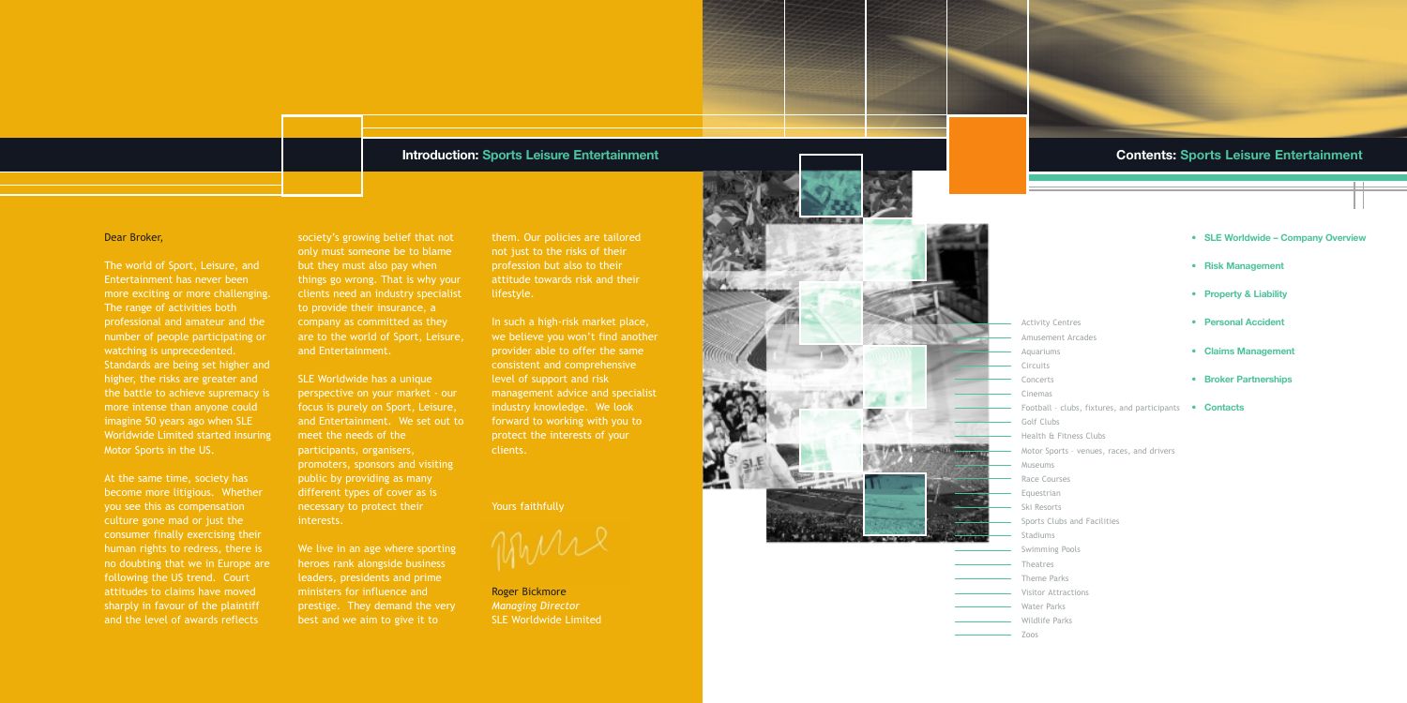## **Contents: Sports Leisure Entertainment**

#### Dear Broker,

The world of Sport, Leisure, and Entertainment has never been more exciting or more challenging. The range of activities both professional and amateur and the number of people participating or watching is unprecedented. Standards are being set higher and higher, the risks are greater and the battle to achieve supremacy is more intense than anyone could imagine 50 years ago when SLE Worldwide Limited started insuring Motor Sports in the US.

At the same time, society has become more litigious. Whether you see this as compensation culture gone mad or just the consumer finally exercising their human rights to redress, there is no doubting that we in Europe are following the US trend. Court attitudes to claims have moved sharply in favour of the plaintiff and the level of awards reflects

We live in an age where sporting heroes rank alongside business leaders, presidents and prime ministers for influence and prestige. They demand the very best and we aim to give it to

society's growing belief that not only must someone be to blame but they must also pay when things go wrong. That is why your clients need an industry specialist to provide their insurance, a company as committed as they are to the world of Sport, Leisure, and Entertainment.

SLE Worldwide has a unique perspective on your market - our focus is purely on Sport, Leisure, and Entertainment. We set out to meet the needs of the participants, organisers, promoters, sponsors and visiting public by providing as many different types of cover as is necessary to protect their interests.

them. Our policies are tailored not just to the risks of their profession but also to their attitude towards risk and their lifestyle.

In such a high-risk market place, we believe you won't find another provider able to offer the same consistent and comprehensive level of support and risk management advice and specialist industry knowledge. We look forward to working with you to protect the interests of your clients.

Yours faithfully

Roger Bickmore *Managing Director* SLE Worldwide Limited



## **Introduction: Sports Leisure Entertainment**

Activity Centres Amusement Arcades Aquariums Circuits Concerts Cinemas Golf Clubs Health & Fitness Clubs Museums Race Courses Equestrian Ski Resorts Stadiums Swimming Pools Theatres Theme Parks Visitor Attractions Water Parks Wildlife Parks Zoos

- **SLE Worldwide Company Overview**
- **Risk Management**
- **Property & Liability**
- **Personal Accident**
- **Claims Management**
- **Broker Partnerships**
- Football clubs, fixtures, and participants  **Contacts**
	-
- Motor Sports venues, races, and drivers
	-
- Sports Clubs and Facilities
	-
	-
	-
	-
	-